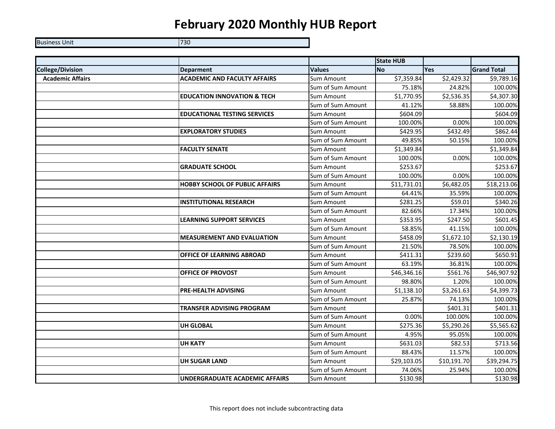## **February 2020 Monthly HUB Report**

Business Unit **730** 

|                         |                                        |                   | <b>State HUB</b> |             |                    |
|-------------------------|----------------------------------------|-------------------|------------------|-------------|--------------------|
| <b>College/Division</b> | <b>Deparment</b>                       | <b>Values</b>     | <b>No</b>        | <b>Yes</b>  | <b>Grand Total</b> |
| <b>Academic Affairs</b> | <b>ACADEMIC AND FACULTY AFFAIRS</b>    | Sum Amount        | \$7,359.84       | \$2,429.32  | \$9,789.16         |
|                         |                                        | Sum of Sum Amount | 75.18%           | 24.82%      | 100.00%            |
|                         | <b>EDUCATION INNOVATION &amp; TECH</b> | <b>Sum Amount</b> | \$1,770.95       | \$2,536.35  | \$4,307.30         |
|                         |                                        | Sum of Sum Amount | 41.12%           | 58.88%      | 100.00%            |
|                         | <b>EDUCATIONAL TESTING SERVICES</b>    | Sum Amount        | \$604.09         |             | \$604.09           |
|                         |                                        | Sum of Sum Amount | 100.00%          | 0.00%       | 100.00%            |
|                         | <b>EXPLORATORY STUDIES</b>             | <b>Sum Amount</b> | \$429.95         | \$432.49    | \$862.44           |
|                         |                                        | Sum of Sum Amount | 49.85%           | 50.15%      | 100.00%            |
|                         | <b>FACULTY SENATE</b>                  | <b>Sum Amount</b> | \$1,349.84       |             | \$1,349.84         |
|                         |                                        | Sum of Sum Amount | 100.00%          | 0.00%       | 100.00%            |
|                         | <b>GRADUATE SCHOOL</b>                 | Sum Amount        | \$253.67         |             | \$253.67           |
|                         |                                        | Sum of Sum Amount | 100.00%          | 0.00%       | 100.00%            |
|                         | <b>HOBBY SCHOOL OF PUBLIC AFFAIRS</b>  | Sum Amount        | \$11,731.01      | \$6,482.05  | \$18,213.06        |
|                         |                                        | Sum of Sum Amount | 64.41%           | 35.59%      | 100.00%            |
|                         | <b>INSTITUTIONAL RESEARCH</b>          | <b>Sum Amount</b> | \$281.25         | \$59.01     | \$340.26           |
|                         |                                        | Sum of Sum Amount | 82.66%           | 17.34%      | 100.00%            |
|                         | <b>LEARNING SUPPORT SERVICES</b>       | Sum Amount        | \$353.95         | \$247.50    | \$601.45           |
|                         |                                        | Sum of Sum Amount | 58.85%           | 41.15%      | 100.00%            |
|                         | <b>MEASUREMENT AND EVALUATION</b>      | Sum Amount        | \$458.09         | \$1,672.10  | \$2,130.19         |
|                         |                                        | Sum of Sum Amount | 21.50%           | 78.50%      | 100.00%            |
|                         | <b>OFFICE OF LEARNING ABROAD</b>       | <b>Sum Amount</b> | \$411.31         | \$239.60    | \$650.91           |
|                         |                                        | Sum of Sum Amount | 63.19%           | 36.81%      | 100.00%            |
|                         | <b>OFFICE OF PROVOST</b>               | Sum Amount        | \$46,346.16      | \$561.76    | \$46,907.92        |
|                         |                                        | Sum of Sum Amount | 98.80%           | 1.20%       | 100.00%            |
|                         | <b>PRE-HEALTH ADVISING</b>             | Sum Amount        | \$1,138.10       | \$3,261.63  | \$4,399.73         |
|                         |                                        | Sum of Sum Amount | 25.87%           | 74.13%      | 100.00%            |
|                         | TRANSFER ADVISING PROGRAM              | <b>Sum Amount</b> |                  | \$401.31    | \$401.31           |
|                         |                                        | Sum of Sum Amount | 0.00%            | 100.00%     | 100.00%            |
|                         | <b>UH GLOBAL</b>                       | Sum Amount        | \$275.36         | \$5,290.26  | \$5,565.62         |
|                         |                                        | Sum of Sum Amount | 4.95%            | 95.05%      | 100.00%            |
|                         | <b>UH KATY</b>                         | Sum Amount        | \$631.03         | \$82.53     | \$713.56           |
|                         |                                        | Sum of Sum Amount | 88.43%           | 11.57%      | 100.00%            |
|                         | <b>UH SUGAR LAND</b>                   | Sum Amount        | \$29,103.05      | \$10,191.70 | \$39,294.75        |
|                         |                                        | Sum of Sum Amount | 74.06%           | 25.94%      | 100.00%            |
|                         | UNDERGRADUATE ACADEMIC AFFAIRS         | Sum Amount        | \$130.98         |             | \$130.98           |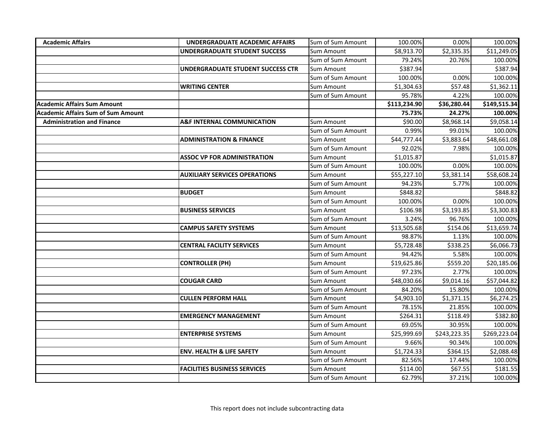| <b>Academic Affairs</b>                   | <b>UNDERGRADUATE ACADEMIC AFFAIRS</b> | Sum of Sum Amount | 100.00%      | 0.00%        | 100.00%      |
|-------------------------------------------|---------------------------------------|-------------------|--------------|--------------|--------------|
|                                           | UNDERGRADUATE STUDENT SUCCESS         | Sum Amount        | \$8,913.70   | \$2,335.35   | \$11,249.05  |
|                                           |                                       | Sum of Sum Amount | 79.24%       | 20.76%       | 100.00%      |
|                                           | UNDERGRADUATE STUDENT SUCCESS CTR     | Sum Amount        | \$387.94     |              | \$387.94     |
|                                           |                                       | Sum of Sum Amount | 100.00%      | 0.00%        | 100.00%      |
|                                           | <b>WRITING CENTER</b>                 | Sum Amount        | \$1,304.63   | \$57.48      | \$1,362.11   |
|                                           |                                       | Sum of Sum Amount | 95.78%       | 4.22%        | 100.00%      |
| <b>Academic Affairs Sum Amount</b>        |                                       |                   | \$113,234.90 | \$36,280.44  | \$149,515.34 |
| <b>Academic Affairs Sum of Sum Amount</b> |                                       |                   | 75.73%       | 24.27%       | 100.00%      |
| <b>Administration and Finance</b>         | <b>A&amp;F INTERNAL COMMUNICATION</b> | Sum Amount        | \$90.00      | \$8,968.14   | \$9,058.14   |
|                                           |                                       | Sum of Sum Amount | 0.99%        | 99.01%       | 100.00%      |
|                                           | <b>ADMINISTRATION &amp; FINANCE</b>   | Sum Amount        | \$44,777.44  | \$3,883.64   | \$48,661.08  |
|                                           |                                       | Sum of Sum Amount | 92.02%       | 7.98%        | 100.00%      |
|                                           | <b>ASSOC VP FOR ADMINISTRATION</b>    | Sum Amount        | \$1,015.87   |              | \$1,015.87   |
|                                           |                                       | Sum of Sum Amount | 100.00%      | 0.00%        | 100.00%      |
|                                           | <b>AUXILIARY SERVICES OPERATIONS</b>  | Sum Amount        | \$55,227.10  | \$3,381.14   | \$58,608.24  |
|                                           |                                       | Sum of Sum Amount | 94.23%       | 5.77%        | 100.00%      |
|                                           | <b>BUDGET</b>                         | Sum Amount        | \$848.82     |              | \$848.82     |
|                                           |                                       | Sum of Sum Amount | 100.00%      | 0.00%        | 100.00%      |
|                                           | <b>BUSINESS SERVICES</b>              | Sum Amount        | \$106.98     | \$3,193.85   | \$3,300.83   |
|                                           |                                       | Sum of Sum Amount | 3.24%        | 96.76%       | 100.00%      |
|                                           | <b>CAMPUS SAFETY SYSTEMS</b>          | Sum Amount        | \$13,505.68  | \$154.06     | \$13,659.74  |
|                                           |                                       | Sum of Sum Amount | 98.87%       | 1.13%        | 100.00%      |
|                                           | <b>CENTRAL FACILITY SERVICES</b>      | Sum Amount        | \$5,728.48   | \$338.25     | \$6,066.73   |
|                                           |                                       | Sum of Sum Amount | 94.42%       | 5.58%        | 100.00%      |
|                                           | <b>CONTROLLER (PH)</b>                | Sum Amount        | \$19,625.86  | \$559.20     | \$20,185.06  |
|                                           |                                       | Sum of Sum Amount | 97.23%       | 2.77%        | 100.00%      |
|                                           | <b>COUGAR CARD</b>                    | Sum Amount        | \$48,030.66  | \$9,014.16   | \$57,044.82  |
|                                           |                                       | Sum of Sum Amount | 84.20%       | 15.80%       | 100.00%      |
|                                           | <b>CULLEN PERFORM HALL</b>            | Sum Amount        | \$4,903.10   | \$1,371.15   | \$6,274.25   |
|                                           |                                       | Sum of Sum Amount | 78.15%       | 21.85%       | 100.00%      |
|                                           | <b>EMERGENCY MANAGEMENT</b>           | Sum Amount        | \$264.31     | \$118.49     | \$382.80     |
|                                           |                                       | Sum of Sum Amount | 69.05%       | 30.95%       | 100.00%      |
|                                           | <b>ENTERPRISE SYSTEMS</b>             | Sum Amount        | \$25,999.69  | \$243,223.35 | \$269,223.04 |
|                                           |                                       | Sum of Sum Amount | 9.66%        | 90.34%       | 100.00%      |
|                                           | <b>ENV. HEALTH &amp; LIFE SAFETY</b>  | Sum Amount        | \$1,724.33   | \$364.15     | \$2,088.48   |
|                                           |                                       | Sum of Sum Amount | 82.56%       | 17.44%       | 100.00%      |
|                                           | <b>FACILITIES BUSINESS SERVICES</b>   | Sum Amount        | \$114.00     | \$67.55      | \$181.55     |
|                                           |                                       | Sum of Sum Amount | 62.79%       | 37.21%       | 100.00%      |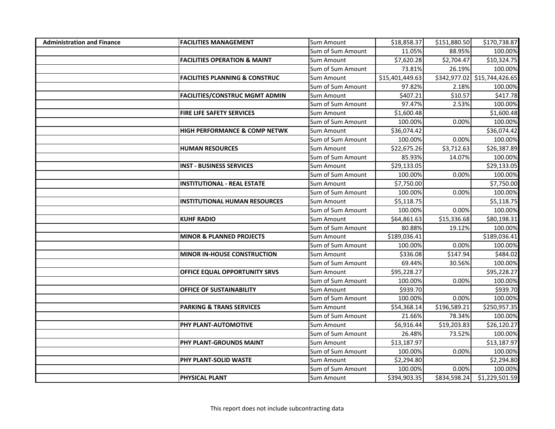| <b>Administration and Finance</b> | <b>FACILITIES MANAGEMENT</b>              | Sum Amount        | \$18,858.37     | \$151,880.50 | \$170,738.87    |
|-----------------------------------|-------------------------------------------|-------------------|-----------------|--------------|-----------------|
|                                   |                                           | Sum of Sum Amount | 11.05%          | 88.95%       | 100.00%         |
|                                   | <b>FACILITIES OPERATION &amp; MAINT</b>   | Sum Amount        | \$7,620.28      | \$2,704.47   | \$10,324.75     |
|                                   |                                           | Sum of Sum Amount | 73.81%          | 26.19%       | 100.00%         |
|                                   | <b>FACILITIES PLANNING &amp; CONSTRUC</b> | Sum Amount        | \$15,401,449.63 | \$342,977.02 | \$15,744,426.65 |
|                                   |                                           | Sum of Sum Amount | 97.82%          | 2.18%        | 100.00%         |
|                                   | <b>FACILITIES/CONSTRUC MGMT ADMIN</b>     | Sum Amount        | \$407.21        | \$10.57      | \$417.78        |
|                                   |                                           | Sum of Sum Amount | 97.47%          | 2.53%        | 100.00%         |
|                                   | FIRE LIFE SAFETY SERVICES                 | Sum Amount        | \$1,600.48      |              | \$1,600.48      |
|                                   |                                           | Sum of Sum Amount | 100.00%         | 0.00%        | 100.00%         |
|                                   | <b>HIGH PERFORMANCE &amp; COMP NETWK</b>  | Sum Amount        | \$36,074.42     |              | \$36,074.42     |
|                                   |                                           | Sum of Sum Amount | 100.00%         | 0.00%        | 100.00%         |
|                                   | <b>HUMAN RESOURCES</b>                    | Sum Amount        | \$22,675.26     | \$3,712.63   | \$26,387.89     |
|                                   |                                           | Sum of Sum Amount | 85.93%          | 14.07%       | 100.00%         |
|                                   | <b>INST - BUSINESS SERVICES</b>           | Sum Amount        | \$29,133.05     |              | \$29,133.05     |
|                                   |                                           | Sum of Sum Amount | 100.00%         | 0.00%        | 100.00%         |
|                                   | <b>INSTITUTIONAL - REAL ESTATE</b>        | Sum Amount        | \$7,750.00      |              | \$7,750.00      |
|                                   |                                           | Sum of Sum Amount | 100.00%         | 0.00%        | 100.00%         |
|                                   | <b>INSTITUTIONAL HUMAN RESOURCES</b>      | Sum Amount        | \$5,118.75      |              | \$5,118.75      |
|                                   |                                           | Sum of Sum Amount | 100.00%         | 0.00%        | 100.00%         |
|                                   | <b>KUHF RADIO</b>                         | Sum Amount        | \$64,861.63     | \$15,336.68  | \$80,198.31     |
|                                   |                                           | Sum of Sum Amount | 80.88%          | 19.12%       | 100.00%         |
|                                   | <b>MINOR &amp; PLANNED PROJECTS</b>       | Sum Amount        | \$189,036.41    |              | \$189,036.41    |
|                                   |                                           | Sum of Sum Amount | 100.00%         | 0.00%        | 100.00%         |
|                                   | <b>MINOR IN-HOUSE CONSTRUCTION</b>        | Sum Amount        | \$336.08        | \$147.94     | \$484.02        |
|                                   |                                           | Sum of Sum Amount | 69.44%          | 30.56%       | 100.00%         |
|                                   | OFFICE EQUAL OPPORTUNITY SRVS             | Sum Amount        | \$95,228.27     |              | \$95,228.27     |
|                                   |                                           | Sum of Sum Amount | 100.00%         | 0.00%        | 100.00%         |
|                                   | <b>OFFICE OF SUSTAINABILITY</b>           | Sum Amount        | \$939.70        |              | \$939.70        |
|                                   |                                           | Sum of Sum Amount | 100.00%         | 0.00%        | 100.00%         |
|                                   | <b>PARKING &amp; TRANS SERVICES</b>       | Sum Amount        | \$54,368.14     | \$196,589.21 | \$250,957.35    |
|                                   |                                           | Sum of Sum Amount | 21.66%          | 78.34%       | 100.00%         |
|                                   | PHY PLANT-AUTOMOTIVE                      | Sum Amount        | \$6,916.44      | \$19,203.83  | \$26,120.27     |
|                                   |                                           | Sum of Sum Amount | 26.48%          | 73.52%       | 100.00%         |
|                                   | PHY PLANT-GROUNDS MAINT                   | Sum Amount        | \$13,187.97     |              | \$13,187.97     |
|                                   |                                           | Sum of Sum Amount | 100.00%         | 0.00%        | 100.00%         |
|                                   | PHY PLANT-SOLID WASTE                     | Sum Amount        | \$2,294.80      |              | \$2,294.80      |
|                                   |                                           | Sum of Sum Amount | 100.00%         | 0.00%        | 100.00%         |
|                                   | PHYSICAL PLANT                            | Sum Amount        | \$394,903.35    | \$834,598.24 | \$1,229,501.59  |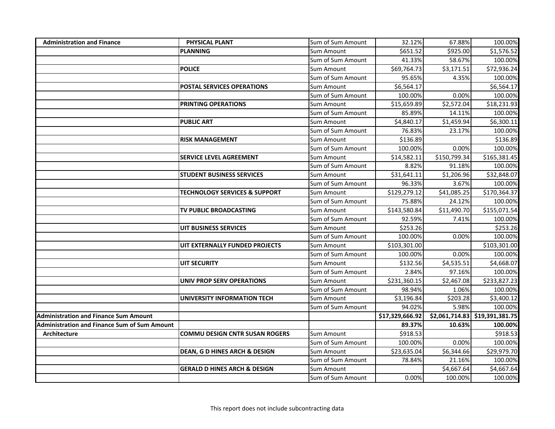| <b>Administration and Finance</b>            | <b>PHYSICAL PLANT</b>                    | Sum of Sum Amount | 32.12%          | 67.88%         | 100.00%         |
|----------------------------------------------|------------------------------------------|-------------------|-----------------|----------------|-----------------|
|                                              | <b>PLANNING</b>                          | Sum Amount        | \$651.52        | \$925.00       | \$1,576.52      |
|                                              |                                          | Sum of Sum Amount | 41.33%          | 58.67%         | 100.00%         |
|                                              | <b>POLICE</b>                            | Sum Amount        | \$69,764.73     | \$3,171.51     | \$72,936.24     |
|                                              |                                          | Sum of Sum Amount | 95.65%          | 4.35%          | 100.00%         |
|                                              | <b>POSTAL SERVICES OPERATIONS</b>        | Sum Amount        | \$6,564.17      |                | \$6,564.17      |
|                                              |                                          | Sum of Sum Amount | 100.00%         | 0.00%          | 100.00%         |
|                                              | PRINTING OPERATIONS                      | Sum Amount        | \$15,659.89     | \$2,572.04     | \$18,231.93     |
|                                              |                                          | Sum of Sum Amount | 85.89%          | 14.11%         | 100.00%         |
|                                              | <b>PUBLIC ART</b>                        | Sum Amount        | \$4,840.17      | \$1,459.94     | \$6,300.11      |
|                                              |                                          | Sum of Sum Amount | 76.83%          | 23.17%         | 100.00%         |
|                                              | <b>RISK MANAGEMENT</b>                   | Sum Amount        | \$136.89        |                | \$136.89        |
|                                              |                                          | Sum of Sum Amount | 100.00%         | 0.00%          | 100.00%         |
|                                              | <b>SERVICE LEVEL AGREEMENT</b>           | Sum Amount        | \$14,582.11     | \$150,799.34   | \$165,381.45    |
|                                              |                                          | Sum of Sum Amount | 8.82%           | 91.18%         | 100.00%         |
|                                              | <b>STUDENT BUSINESS SERVICES</b>         | Sum Amount        | \$31,641.11     | \$1,206.96     | \$32,848.07     |
|                                              |                                          | Sum of Sum Amount | 96.33%          | 3.67%          | 100.00%         |
|                                              | <b>TECHNOLOGY SERVICES &amp; SUPPORT</b> | Sum Amount        | \$129,279.12    | \$41,085.25    | \$170,364.37    |
|                                              |                                          | Sum of Sum Amount | 75.88%          | 24.12%         | 100.00%         |
|                                              | TV PUBLIC BROADCASTING                   | Sum Amount        | \$143,580.84    | \$11,490.70    | \$155,071.54    |
|                                              |                                          | Sum of Sum Amount | 92.59%          | 7.41%          | 100.00%         |
|                                              | UIT BUSINESS SERVICES                    | Sum Amount        | \$253.26        |                | \$253.26        |
|                                              |                                          | Sum of Sum Amount | 100.00%         | 0.00%          | 100.00%         |
|                                              | UIT EXTERNALLY FUNDED PROJECTS           | Sum Amount        | \$103,301.00    |                | \$103,301.00    |
|                                              |                                          | Sum of Sum Amount | 100.00%         | 0.00%          | 100.00%         |
|                                              | UIT SECURITY                             | Sum Amount        | \$132.56        | \$4,535.51     | \$4,668.07      |
|                                              |                                          | Sum of Sum Amount | 2.84%           | 97.16%         | 100.00%         |
|                                              | <b>UNIV PROP SERV OPERATIONS</b>         | Sum Amount        | \$231,360.15    | \$2,467.08     | \$233,827.23    |
|                                              |                                          | Sum of Sum Amount | 98.94%          | 1.06%          | 100.00%         |
|                                              | UNIVERSITY INFORMATION TECH              | Sum Amount        | \$3,196.84      | \$203.28       | \$3,400.12      |
|                                              |                                          | Sum of Sum Amount | 94.02%          | 5.98%          | 100.00%         |
| <b>Administration and Finance Sum Amount</b> |                                          |                   | \$17,329,666.92 | \$2,061,714.83 | \$19,391,381.75 |
| Administration and Finance Sum of Sum Amount |                                          |                   | 89.37%          | 10.63%         | 100.00%         |
| <b>Architecture</b>                          | <b>COMMU DESIGN CNTR SUSAN ROGERS</b>    | Sum Amount        | \$918.53        |                | \$918.53        |
|                                              |                                          | Sum of Sum Amount | 100.00%         | 0.00%          | 100.00%         |
|                                              | DEAN, G D HINES ARCH & DESIGN            | Sum Amount        | \$23,635.04     | \$6,344.66     | \$29,979.70     |
|                                              |                                          | Sum of Sum Amount | 78.84%          | 21.16%         | 100.00%         |
|                                              | <b>GERALD D HINES ARCH &amp; DESIGN</b>  | Sum Amount        |                 | \$4,667.64     | \$4,667.64      |
|                                              |                                          | Sum of Sum Amount | 0.00%           | 100.00%        | 100.00%         |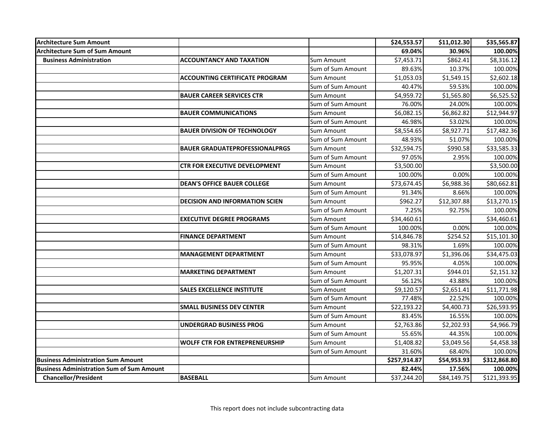| <b>Architecture Sum Amount</b>                   |                                       |                   | \$24,553.57  | \$11,012.30 | \$35,565.87  |
|--------------------------------------------------|---------------------------------------|-------------------|--------------|-------------|--------------|
| Architecture Sum of Sum Amount                   |                                       |                   | 69.04%       | 30.96%      | 100.00%      |
| <b>Business Administration</b>                   | <b>ACCOUNTANCY AND TAXATION</b>       | Sum Amount        | \$7,453.71   | \$862.41    | \$8,316.12   |
|                                                  |                                       | Sum of Sum Amount | 89.63%       | 10.37%      | 100.00%      |
|                                                  | <b>ACCOUNTING CERTIFICATE PROGRAM</b> | <b>Sum Amount</b> | \$1,053.03   | \$1,549.15  | \$2,602.18   |
|                                                  |                                       | Sum of Sum Amount | 40.47%       | 59.53%      | 100.00%      |
|                                                  | <b>BAUER CAREER SERVICES CTR</b>      | <b>Sum Amount</b> | \$4,959.72   | \$1,565.80  | \$6,525.52   |
|                                                  |                                       | Sum of Sum Amount | 76.00%       | 24.00%      | 100.00%      |
|                                                  | <b>BAUER COMMUNICATIONS</b>           | Sum Amount        | \$6,082.15   | \$6,862.82  | \$12,944.97  |
|                                                  |                                       | Sum of Sum Amount | 46.98%       | 53.02%      | 100.00%      |
|                                                  | <b>BAUER DIVISION OF TECHNOLOGY</b>   | Sum Amount        | \$8,554.65   | \$8,927.71  | \$17,482.36  |
|                                                  |                                       | Sum of Sum Amount | 48.93%       | 51.07%      | 100.00%      |
|                                                  | <b>BAUER GRADUATEPROFESSIONALPRGS</b> | Sum Amount        | \$32,594.75  | \$990.58    | \$33,585.33  |
|                                                  |                                       | Sum of Sum Amount | 97.05%       | 2.95%       | 100.00%      |
|                                                  | <b>CTR FOR EXECUTIVE DEVELOPMENT</b>  | Sum Amount        | \$3,500.00   |             | \$3,500.00   |
|                                                  |                                       | Sum of Sum Amount | 100.00%      | 0.00%       | 100.00%      |
|                                                  | <b>DEAN'S OFFICE BAUER COLLEGE</b>    | Sum Amount        | \$73,674.45  | \$6,988.36  | \$80,662.81  |
|                                                  |                                       | Sum of Sum Amount | 91.34%       | 8.66%       | 100.00%      |
|                                                  | <b>DECISION AND INFORMATION SCIEN</b> | <b>Sum Amount</b> | \$962.27     | \$12,307.88 | \$13,270.15  |
|                                                  |                                       | Sum of Sum Amount | 7.25%        | 92.75%      | 100.00%      |
|                                                  | <b>EXECUTIVE DEGREE PROGRAMS</b>      | Sum Amount        | \$34,460.61  |             | \$34,460.61  |
|                                                  |                                       | Sum of Sum Amount | 100.00%      | 0.00%       | 100.00%      |
|                                                  | <b>FINANCE DEPARTMENT</b>             | Sum Amount        | \$14,846.78  | \$254.52    | \$15,101.30  |
|                                                  |                                       | Sum of Sum Amount | 98.31%       | 1.69%       | 100.00%      |
|                                                  | <b>MANAGEMENT DEPARTMENT</b>          | Sum Amount        | \$33,078.97  | \$1,396.06  | \$34,475.03  |
|                                                  |                                       | Sum of Sum Amount | 95.95%       | 4.05%       | 100.00%      |
|                                                  | <b>MARKETING DEPARTMENT</b>           | Sum Amount        | \$1,207.31   | \$944.01    | \$2,151.32   |
|                                                  |                                       | Sum of Sum Amount | 56.12%       | 43.88%      | 100.00%      |
|                                                  | <b>SALES EXCELLENCE INSTITUTE</b>     | Sum Amount        | \$9,120.57   | \$2,651.41  | \$11,771.98  |
|                                                  |                                       | Sum of Sum Amount | 77.48%       | 22.52%      | 100.00%      |
|                                                  | <b>SMALL BUSINESS DEV CENTER</b>      | Sum Amount        | \$22,193.22  | \$4,400.73  | \$26,593.95  |
|                                                  |                                       | Sum of Sum Amount | 83.45%       | 16.55%      | 100.00%      |
|                                                  | <b>UNDERGRAD BUSINESS PROG</b>        | Sum Amount        | \$2,763.86   | \$2,202.93  | \$4,966.79   |
|                                                  |                                       | Sum of Sum Amount | 55.65%       | 44.35%      | 100.00%      |
|                                                  | <b>WOLFF CTR FOR ENTREPRENEURSHIP</b> | Sum Amount        | \$1,408.82   | \$3,049.56  | \$4,458.38   |
|                                                  |                                       | Sum of Sum Amount | 31.60%       | 68.40%      | 100.00%      |
| Business Administration Sum Amount               |                                       |                   | \$257,914.87 | \$54,953.93 | \$312,868.80 |
| <b>Business Administration Sum of Sum Amount</b> |                                       |                   | 82.44%       | 17.56%      | 100.00%      |
| <b>Chancellor/President</b>                      | <b>BASEBALL</b>                       | Sum Amount        | \$37,244.20  | \$84,149.75 | \$121,393.95 |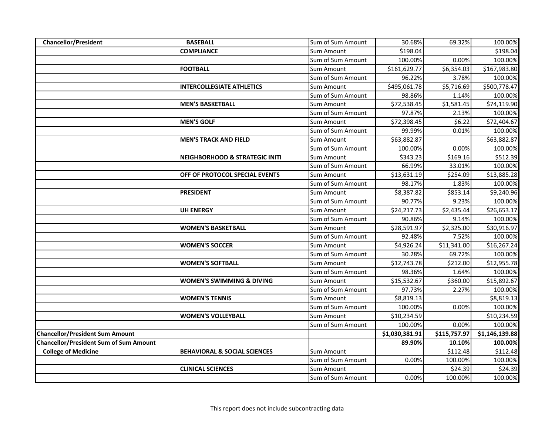| <b>Chancellor/President</b>                   | <b>BASEBALL</b>                           | Sum of Sum Amount | 30.68%         | 69.32%       | 100.00%        |
|-----------------------------------------------|-------------------------------------------|-------------------|----------------|--------------|----------------|
|                                               | <b>COMPLIANCE</b>                         | Sum Amount        | \$198.04       |              | \$198.04       |
|                                               |                                           | Sum of Sum Amount | 100.00%        | 0.00%        | 100.00%        |
|                                               | <b>FOOTBALL</b>                           | Sum Amount        | \$161,629.77   | \$6,354.03   | \$167,983.80   |
|                                               |                                           | Sum of Sum Amount | 96.22%         | 3.78%        | 100.00%        |
|                                               | <b>INTERCOLLEGIATE ATHLETICS</b>          | Sum Amount        | \$495,061.78   | \$5,716.69   | \$500,778.47   |
|                                               |                                           | Sum of Sum Amount | 98.86%         | 1.14%        | 100.00%        |
|                                               | <b>MEN'S BASKETBALL</b>                   | Sum Amount        | \$72,538.45    | \$1,581.45   | \$74,119.90    |
|                                               |                                           | Sum of Sum Amount | 97.87%         | 2.13%        | 100.00%        |
|                                               | <b>MEN'S GOLF</b>                         | Sum Amount        | \$72,398.45    | \$6.22       | \$72,404.67    |
|                                               |                                           | Sum of Sum Amount | 99.99%         | 0.01%        | 100.00%        |
|                                               | <b>MEN'S TRACK AND FIELD</b>              | Sum Amount        | \$63,882.87    |              | \$63,882.87    |
|                                               |                                           | Sum of Sum Amount | 100.00%        | 0.00%        | 100.00%        |
|                                               | <b>NEIGHBORHOOD &amp; STRATEGIC INITI</b> | Sum Amount        | \$343.23       | \$169.16     | \$512.39       |
|                                               |                                           | Sum of Sum Amount | 66.99%         | 33.01%       | 100.00%        |
|                                               | OFF OF PROTOCOL SPECIAL EVENTS            | Sum Amount        | \$13,631.19    | \$254.09     | \$13,885.28    |
|                                               |                                           | Sum of Sum Amount | 98.17%         | 1.83%        | 100.00%        |
|                                               | <b>PRESIDENT</b>                          | Sum Amount        | \$8,387.82     | \$853.14     | \$9,240.96     |
|                                               |                                           | Sum of Sum Amount | 90.77%         | 9.23%        | 100.00%        |
|                                               | <b>UH ENERGY</b>                          | Sum Amount        | \$24,217.73    | \$2,435.44   | \$26,653.17    |
|                                               |                                           | Sum of Sum Amount | 90.86%         | 9.14%        | 100.00%        |
|                                               | WOMEN'S BASKETBALL                        | Sum Amount        | \$28,591.97    | \$2,325.00   | \$30,916.97    |
|                                               |                                           | Sum of Sum Amount | 92.48%         | 7.52%        | 100.00%        |
|                                               | <b>WOMEN'S SOCCER</b>                     | Sum Amount        | \$4,926.24     | \$11,341.00  | \$16,267.24    |
|                                               |                                           | Sum of Sum Amount | 30.28%         | 69.72%       | 100.00%        |
|                                               | <b>WOMEN'S SOFTBALL</b>                   | Sum Amount        | \$12,743.78    | \$212.00     | \$12,955.78    |
|                                               |                                           | Sum of Sum Amount | 98.36%         | 1.64%        | 100.00%        |
|                                               | <b>WOMEN'S SWIMMING &amp; DIVING</b>      | Sum Amount        | \$15,532.67    | \$360.00     | \$15,892.67    |
|                                               |                                           | Sum of Sum Amount | 97.73%         | 2.27%        | 100.00%        |
|                                               | <b>WOMEN'S TENNIS</b>                     | Sum Amount        | \$8,819.13     |              | \$8,819.13     |
|                                               |                                           | Sum of Sum Amount | 100.00%        | 0.00%        | 100.00%        |
|                                               | <b>WOMEN'S VOLLEYBALL</b>                 | Sum Amount        | \$10,234.59    |              | \$10,234.59    |
|                                               |                                           | Sum of Sum Amount | 100.00%        | 0.00%        | 100.00%        |
| <b>Chancellor/President Sum Amount</b>        |                                           |                   | \$1,030,381.91 | \$115,757.97 | \$1,146,139.88 |
| <b>Chancellor/President Sum of Sum Amount</b> |                                           |                   | 89.90%         | 10.10%       | 100.00%        |
| <b>College of Medicine</b>                    | <b>BEHAVIORAL &amp; SOCIAL SCIENCES</b>   | Sum Amount        |                | \$112.48     | \$112.48       |
|                                               |                                           | Sum of Sum Amount | 0.00%          | 100.00%      | 100.00%        |
|                                               | <b>CLINICAL SCIENCES</b>                  | Sum Amount        |                | \$24.39      | \$24.39        |
|                                               |                                           | Sum of Sum Amount | 0.00%          | 100.00%      | 100.00%        |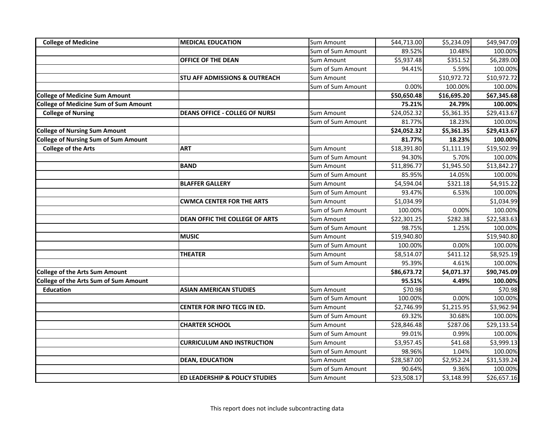| <b>College of Medicine</b>                   | <b>MEDICAL EDUCATION</b>                 | Sum Amount        | \$44,713.00 | \$5,234.09             | \$49,947.09 |
|----------------------------------------------|------------------------------------------|-------------------|-------------|------------------------|-------------|
|                                              |                                          | Sum of Sum Amount | 89.52%      | 10.48%                 | 100.00%     |
|                                              | OFFICE OF THE DEAN                       | Sum Amount        | \$5,937.48  | \$351.52               | \$6,289.00  |
|                                              |                                          | Sum of Sum Amount | 94.41%      | 5.59%                  | 100.00%     |
|                                              | <b>STU AFF ADMISSIONS &amp; OUTREACH</b> | Sum Amount        |             | \$10,972.72            | \$10,972.72 |
|                                              |                                          | Sum of Sum Amount | 0.00%       | 100.00%                | 100.00%     |
| <b>College of Medicine Sum Amount</b>        |                                          |                   | \$50,650.48 | \$16,695.20            | \$67,345.68 |
| <b>College of Medicine Sum of Sum Amount</b> |                                          |                   | 75.21%      | 24.79%                 | 100.00%     |
| <b>College of Nursing</b>                    | <b>DEANS OFFICE - COLLEG OF NURSI</b>    | Sum Amount        | \$24,052.32 | \$5,361.35             | \$29,413.67 |
|                                              |                                          | Sum of Sum Amount | 81.77%      | 18.23%                 | 100.00%     |
| <b>College of Nursing Sum Amount</b>         |                                          |                   | \$24,052.32 | \$5,361.35             | \$29,413.67 |
| <b>College of Nursing Sum of Sum Amount</b>  |                                          |                   | 81.77%      | 18.23%                 | 100.00%     |
| <b>College of the Arts</b>                   | <b>ART</b>                               | Sum Amount        | \$18,391.80 | $\overline{51,}111.19$ | \$19,502.99 |
|                                              |                                          | Sum of Sum Amount | 94.30%      | 5.70%                  | 100.00%     |
|                                              | <b>BAND</b>                              | Sum Amount        | \$11,896.77 | \$1,945.50             | \$13,842.27 |
|                                              |                                          | Sum of Sum Amount | 85.95%      | 14.05%                 | 100.00%     |
|                                              | <b>BLAFFER GALLERY</b>                   | Sum Amount        | \$4,594.04  | \$321.18               | \$4,915.22  |
|                                              |                                          | Sum of Sum Amount | 93.47%      | 6.53%                  | 100.00%     |
|                                              | <b>CWMCA CENTER FOR THE ARTS</b>         | Sum Amount        | \$1,034.99  |                        | \$1,034.99  |
|                                              |                                          | Sum of Sum Amount | 100.00%     | 0.00%                  | 100.00%     |
|                                              | DEAN OFFIC THE COLLEGE OF ARTS           | <b>Sum Amount</b> | \$22,301.25 | \$282.38               | \$22,583.63 |
|                                              |                                          | Sum of Sum Amount | 98.75%      | 1.25%                  | 100.00%     |
|                                              | <b>MUSIC</b>                             | Sum Amount        | \$19,940.80 |                        | \$19,940.80 |
|                                              |                                          | Sum of Sum Amount | 100.00%     | 0.00%                  | 100.00%     |
|                                              | <b>THEATER</b>                           | Sum Amount        | \$8,514.07  | \$411.12               | \$8,925.19  |
|                                              |                                          | Sum of Sum Amount | 95.39%      | 4.61%                  | 100.00%     |
| <b>College of the Arts Sum Amount</b>        |                                          |                   | \$86,673.72 | \$4,071.37             | \$90,745.09 |
| College of the Arts Sum of Sum Amount        |                                          |                   | 95.51%      | 4.49%                  | 100.00%     |
| <b>Education</b>                             | <b>ASIAN AMERICAN STUDIES</b>            | Sum Amount        | \$70.98     |                        | \$70.98     |
|                                              |                                          | Sum of Sum Amount | 100.00%     | 0.00%                  | 100.00%     |
|                                              | CENTER FOR INFO TECG IN ED.              | Sum Amount        | \$2,746.99  | \$1,215.95             | \$3,962.94  |
|                                              |                                          | Sum of Sum Amount | 69.32%      | 30.68%                 | 100.00%     |
|                                              | <b>CHARTER SCHOOL</b>                    | Sum Amount        | \$28,846.48 | \$287.06               | \$29,133.54 |
|                                              |                                          | Sum of Sum Amount | 99.01%      | 0.99%                  | 100.00%     |
|                                              | <b>CURRICULUM AND INSTRUCTION</b>        | Sum Amount        | \$3,957.45  | \$41.68                | \$3,999.13  |
|                                              |                                          | Sum of Sum Amount | 98.96%      | 1.04%                  | 100.00%     |
|                                              | <b>DEAN, EDUCATION</b>                   | Sum Amount        | \$28,587.00 | \$2,952.24             | \$31,539.24 |
|                                              |                                          | Sum of Sum Amount | 90.64%      | 9.36%                  | 100.00%     |
|                                              | ED LEADERSHIP & POLICY STUDIES           | Sum Amount        | \$23,508.17 | \$3,148.99             | \$26,657.16 |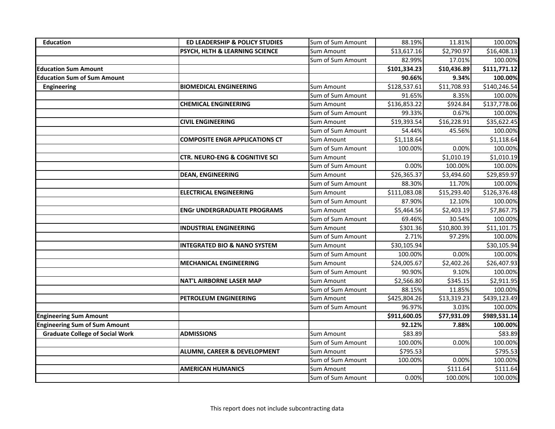| <b>Education</b>                       | ED LEADERSHIP & POLICY STUDIES            | Sum of Sum Amount | 88.19%       | 11.81%      | 100.00%      |
|----------------------------------------|-------------------------------------------|-------------------|--------------|-------------|--------------|
|                                        | PSYCH, HLTH & LEARNING SCIENCE            | Sum Amount        | \$13,617.16  | \$2,790.97  | \$16,408.13  |
|                                        |                                           | Sum of Sum Amount | 82.99%       | 17.01%      | 100.00%      |
| <b>Education Sum Amount</b>            |                                           |                   | \$101,334.23 | \$10,436.89 | \$111,771.12 |
| <b>Education Sum of Sum Amount</b>     |                                           |                   | 90.66%       | 9.34%       | 100.00%      |
| Engineering                            | <b>BIOMEDICAL ENGINEERING</b>             | Sum Amount        | \$128,537.61 | \$11,708.93 | \$140,246.54 |
|                                        |                                           | Sum of Sum Amount | 91.65%       | 8.35%       | 100.00%      |
|                                        | <b>CHEMICAL ENGINEERING</b>               | Sum Amount        | \$136,853.22 | \$924.84    | \$137,778.06 |
|                                        |                                           | Sum of Sum Amount | 99.33%       | 0.67%       | 100.00%      |
|                                        | <b>CIVIL ENGINEERING</b>                  | Sum Amount        | \$19,393.54  | \$16,228.91 | \$35,622.45  |
|                                        |                                           | Sum of Sum Amount | 54.44%       | 45.56%      | 100.00%      |
|                                        | <b>COMPOSITE ENGR APPLICATIONS CT</b>     | <b>Sum Amount</b> | \$1,118.64   |             | \$1,118.64   |
|                                        |                                           | Sum of Sum Amount | 100.00%      | 0.00%       | 100.00%      |
|                                        | <b>CTR. NEURO-ENG &amp; COGNITIVE SCI</b> | Sum Amount        |              | \$1,010.19  | \$1,010.19   |
|                                        |                                           | Sum of Sum Amount | 0.00%        | 100.00%     | 100.00%      |
|                                        | <b>DEAN, ENGINEERING</b>                  | Sum Amount        | \$26,365.37  | \$3,494.60  | \$29,859.97  |
|                                        |                                           | Sum of Sum Amount | 88.30%       | 11.70%      | 100.00%      |
|                                        | <b>ELECTRICAL ENGINEERING</b>             | Sum Amount        | \$111,083.08 | \$15,293.40 | \$126,376.48 |
|                                        |                                           | Sum of Sum Amount | 87.90%       | 12.10%      | 100.00%      |
|                                        | <b>ENGr UNDERGRADUATE PROGRAMS</b>        | Sum Amount        | \$5,464.56   | \$2,403.19  | \$7,867.75   |
|                                        |                                           | Sum of Sum Amount | 69.46%       | 30.54%      | 100.00%      |
|                                        | <b>INDUSTRIAL ENGINEERING</b>             | Sum Amount        | \$301.36     | \$10,800.39 | \$11,101.75  |
|                                        |                                           | Sum of Sum Amount | 2.71%        | 97.29%      | 100.00%      |
|                                        | <b>INTEGRATED BIO &amp; NANO SYSTEM</b>   | Sum Amount        | \$30,105.94  |             | \$30,105.94  |
|                                        |                                           | Sum of Sum Amount | 100.00%      | 0.00%       | 100.00%      |
|                                        | <b>MECHANICAL ENGINEERING</b>             | Sum Amount        | \$24,005.67  | \$2,402.26  | \$26,407.93  |
|                                        |                                           | Sum of Sum Amount | 90.90%       | 9.10%       | 100.00%      |
|                                        | <b>NAT'L AIRBORNE LASER MAP</b>           | Sum Amount        | \$2,566.80   | \$345.15    | \$2,911.95   |
|                                        |                                           | Sum of Sum Amount | 88.15%       | 11.85%      | 100.00%      |
|                                        | PETROLEUM ENGINEERING                     | Sum Amount        | \$425,804.26 | \$13,319.23 | \$439,123.49 |
|                                        |                                           | Sum of Sum Amount | 96.97%       | 3.03%       | 100.00%      |
| <b>Engineering Sum Amount</b>          |                                           |                   | \$911,600.05 | \$77,931.09 | \$989,531.14 |
| <b>Engineering Sum of Sum Amount</b>   |                                           |                   | 92.12%       | 7.88%       | 100.00%      |
| <b>Graduate College of Social Work</b> | <b>ADMISSIONS</b>                         | Sum Amount        | \$83.89      |             | \$83.89      |
|                                        |                                           | Sum of Sum Amount | 100.00%      | 0.00%       | 100.00%      |
|                                        | ALUMNI, CAREER & DEVELOPMENT              | Sum Amount        | \$795.53     |             | \$795.53     |
|                                        |                                           | Sum of Sum Amount | 100.00%      | 0.00%       | 100.00%      |
|                                        | <b>AMERICAN HUMANICS</b>                  | Sum Amount        |              | \$111.64    | \$111.64     |
|                                        |                                           | Sum of Sum Amount | 0.00%        | 100.00%     | 100.00%      |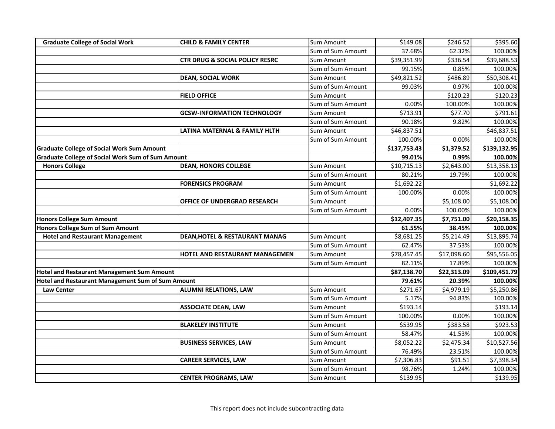| <b>Graduate College of Social Work</b>                   | <b>CHILD &amp; FAMILY CENTER</b>          | <b>Sum Amount</b> | \$149.08     | \$246.52    | \$395.60     |
|----------------------------------------------------------|-------------------------------------------|-------------------|--------------|-------------|--------------|
|                                                          |                                           | Sum of Sum Amount | 37.68%       | 62.32%      | 100.00%      |
|                                                          | <b>CTR DRUG &amp; SOCIAL POLICY RESRC</b> | Sum Amount        | \$39,351.99  | \$336.54    | \$39,688.53  |
|                                                          |                                           | Sum of Sum Amount | 99.15%       | 0.85%       | 100.00%      |
|                                                          | <b>DEAN, SOCIAL WORK</b>                  | Sum Amount        | \$49,821.52  | \$486.89    | \$50,308.41  |
|                                                          |                                           | Sum of Sum Amount | 99.03%       | 0.97%       | 100.00%      |
|                                                          | <b>FIELD OFFICE</b>                       | Sum Amount        |              | \$120.23    | \$120.23     |
|                                                          |                                           | Sum of Sum Amount | 0.00%        | 100.00%     | 100.00%      |
|                                                          | <b>GCSW-INFORMATION TECHNOLOGY</b>        | Sum Amount        | \$713.91     | \$77.70     | \$791.61     |
|                                                          |                                           | Sum of Sum Amount | 90.18%       | 9.82%       | 100.00%      |
|                                                          | LATINA MATERNAL & FAMILY HLTH             | Sum Amount        | \$46,837.51  |             | \$46,837.51  |
|                                                          |                                           | Sum of Sum Amount | 100.00%      | 0.00%       | 100.00%      |
| <b>Graduate College of Social Work Sum Amount</b>        |                                           |                   | \$137,753.43 | \$1,379.52  | \$139,132.95 |
| <b>Graduate College of Social Work Sum of Sum Amount</b> |                                           |                   | 99.01%       | 0.99%       | 100.00%      |
| <b>Honors College</b>                                    | <b>DEAN, HONORS COLLEGE</b>               | <b>Sum Amount</b> | \$10,715.13  | \$2,643.00  | \$13,358.13  |
|                                                          |                                           | Sum of Sum Amount | 80.21%       | 19.79%      | 100.00%      |
|                                                          | <b>FORENSICS PROGRAM</b>                  | Sum Amount        | \$1,692.22   |             | \$1,692.22   |
|                                                          |                                           | Sum of Sum Amount | 100.00%      | 0.00%       | 100.00%      |
|                                                          | OFFICE OF UNDERGRAD RESEARCH              | <b>Sum Amount</b> |              | \$5,108.00  | \$5,108.00   |
|                                                          |                                           | Sum of Sum Amount | 0.00%        | 100.00%     | 100.00%      |
| <b>Honors College Sum Amount</b>                         |                                           |                   | \$12,407.35  | \$7,751.00  | \$20,158.35  |
| <b>Honors College Sum of Sum Amount</b>                  |                                           |                   | 61.55%       | 38.45%      | 100.00%      |
| <b>Hotel and Restaurant Management</b>                   | DEAN, HOTEL & RESTAURANT MANAG            | Sum Amount        | \$8,681.25   | \$5,214.49  | \$13,895.74  |
|                                                          |                                           | Sum of Sum Amount | 62.47%       | 37.53%      | 100.00%      |
|                                                          | HOTEL AND RESTAURANT MANAGEMEN            | Sum Amount        | \$78,457.45  | \$17,098.60 | \$95,556.05  |
|                                                          |                                           | Sum of Sum Amount | 82.11%       | 17.89%      | 100.00%      |
| <b>Hotel and Restaurant Management Sum Amount</b>        |                                           |                   | \$87,138.70  | \$22,313.09 | \$109,451.79 |
| Hotel and Restaurant Management Sum of Sum Amount        |                                           |                   | 79.61%       | 20.39%      | 100.00%      |
| <b>Law Center</b>                                        | <b>ALUMNI RELATIONS, LAW</b>              | Sum Amount        | \$271.67     | \$4,979.19  | \$5,250.86   |
|                                                          |                                           | Sum of Sum Amount | 5.17%        | 94.83%      | 100.00%      |
|                                                          | <b>ASSOCIATE DEAN, LAW</b>                | Sum Amount        | \$193.14     |             | \$193.14     |
|                                                          |                                           | Sum of Sum Amount | 100.00%      | 0.00%       | 100.00%      |
|                                                          | <b>BLAKELEY INSTITUTE</b>                 | Sum Amount        | \$539.95     | \$383.58    | \$923.53     |
|                                                          |                                           | Sum of Sum Amount | 58.47%       | 41.53%      | 100.00%      |
|                                                          | <b>BUSINESS SERVICES, LAW</b>             | Sum Amount        | \$8,052.22   | \$2,475.34  | \$10,527.56  |
|                                                          |                                           | Sum of Sum Amount | 76.49%       | 23.51%      | 100.00%      |
|                                                          | <b>CAREER SERVICES, LAW</b>               | Sum Amount        | \$7,306.83   | \$91.51     | \$7,398.34   |
|                                                          |                                           | Sum of Sum Amount | 98.76%       | 1.24%       | 100.00%      |
|                                                          | <b>CENTER PROGRAMS, LAW</b>               | Sum Amount        | \$139.95     |             | \$139.95     |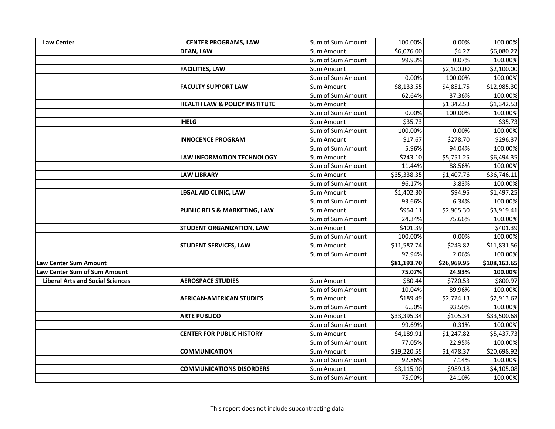| <b>Law Center</b>                       | <b>CENTER PROGRAMS, LAW</b>              | Sum of Sum Amount | 100.00%     | 0.00%       | 100.00%      |
|-----------------------------------------|------------------------------------------|-------------------|-------------|-------------|--------------|
|                                         | <b>DEAN, LAW</b>                         | Sum Amount        | \$6,076.00  | \$4.27      | \$6,080.27   |
|                                         |                                          | Sum of Sum Amount | 99.93%      | 0.07%       | 100.00%      |
|                                         | <b>FACILITIES, LAW</b>                   | Sum Amount        |             | \$2,100.00  | \$2,100.00   |
|                                         |                                          | Sum of Sum Amount | 0.00%       | 100.00%     | 100.00%      |
|                                         | <b>FACULTY SUPPORT LAW</b>               | Sum Amount        | \$8,133.55  | \$4,851.75  | \$12,985.30  |
|                                         |                                          | Sum of Sum Amount | 62.64%      | 37.36%      | 100.00%      |
|                                         | <b>HEALTH LAW &amp; POLICY INSTITUTE</b> | Sum Amount        |             | \$1,342.53  | \$1,342.53   |
|                                         |                                          | Sum of Sum Amount | 0.00%       | 100.00%     | 100.00%      |
|                                         | <b>IHELG</b>                             | Sum Amount        | \$35.73     |             | \$35.73      |
|                                         |                                          | Sum of Sum Amount | 100.00%     | 0.00%       | 100.00%      |
|                                         | <b>INNOCENCE PROGRAM</b>                 | Sum Amount        | \$17.67     | \$278.70    | \$296.37     |
|                                         |                                          | Sum of Sum Amount | 5.96%       | 94.04%      | 100.00%      |
|                                         | <b>LAW INFORMATION TECHNOLOGY</b>        | Sum Amount        | \$743.10    | \$5,751.25  | \$6,494.35   |
|                                         |                                          | Sum of Sum Amount | 11.44%      | 88.56%      | 100.00%      |
|                                         | <b>LAW LIBRARY</b>                       | Sum Amount        | \$35,338.35 | \$1,407.76  | \$36,746.11  |
|                                         |                                          | Sum of Sum Amount | 96.17%      | 3.83%       | 100.00%      |
|                                         | LEGAL AID CLINIC, LAW                    | Sum Amount        | \$1,402.30  | \$94.95     | \$1,497.25   |
|                                         |                                          | Sum of Sum Amount | 93.66%      | 6.34%       | 100.00%      |
|                                         | PUBLIC RELS & MARKETING, LAW             | Sum Amount        | \$954.11    | \$2,965.30  | \$3,919.41   |
|                                         |                                          | Sum of Sum Amount | 24.34%      | 75.66%      | 100.00%      |
|                                         | <b>STUDENT ORGANIZATION, LAW</b>         | Sum Amount        | \$401.39    |             | \$401.39     |
|                                         |                                          | Sum of Sum Amount | 100.00%     | 0.00%       | 100.00%      |
|                                         | <b>STUDENT SERVICES, LAW</b>             | Sum Amount        | \$11,587.74 | \$243.82    | \$11,831.56  |
|                                         |                                          | Sum of Sum Amount | 97.94%      | 2.06%       | 100.00%      |
| <b>Law Center Sum Amount</b>            |                                          |                   | \$81,193.70 | \$26,969.95 | \$108,163.65 |
| <b>Law Center Sum of Sum Amount</b>     |                                          |                   | 75.07%      | 24.93%      | 100.00%      |
| <b>Liberal Arts and Social Sciences</b> | <b>AEROSPACE STUDIES</b>                 | Sum Amount        | \$80.44     | \$720.53    | \$800.97     |
|                                         |                                          | Sum of Sum Amount | 10.04%      | 89.96%      | 100.00%      |
|                                         | <b>AFRICAN-AMERICAN STUDIES</b>          | Sum Amount        | \$189.49    | \$2,724.13  | \$2,913.62   |
|                                         |                                          | Sum of Sum Amount | 6.50%       | 93.50%      | 100.00%      |
|                                         | <b>ARTE PUBLICO</b>                      | Sum Amount        | \$33,395.34 | \$105.34    | \$33,500.68  |
|                                         |                                          | Sum of Sum Amount | 99.69%      | 0.31%       | 100.00%      |
|                                         | <b>CENTER FOR PUBLIC HISTORY</b>         | Sum Amount        | \$4,189.91  | \$1,247.82  | \$5,437.73   |
|                                         |                                          | Sum of Sum Amount | 77.05%      | 22.95%      | 100.00%      |
|                                         | <b>COMMUNICATION</b>                     | Sum Amount        | \$19,220.55 | \$1,478.37  | \$20,698.92  |
|                                         |                                          | Sum of Sum Amount | 92.86%      | 7.14%       | 100.00%      |
|                                         | <b>COMMUNICATIONS DISORDERS</b>          | Sum Amount        | \$3,115.90  | \$989.18    | \$4,105.08   |
|                                         |                                          | Sum of Sum Amount | 75.90%      | 24.10%      | 100.00%      |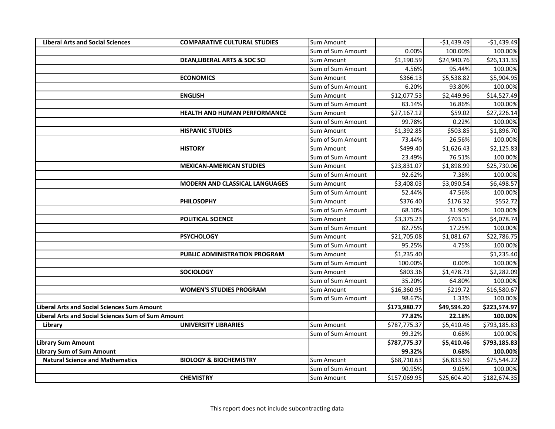| <b>Liberal Arts and Social Sciences</b>            | <b>COMPARATIVE CULTURAL STUDIES</b>     | <b>Sum Amount</b> |              | $-$1,439.49$ | $-$1,439.49$ |
|----------------------------------------------------|-----------------------------------------|-------------------|--------------|--------------|--------------|
|                                                    |                                         | Sum of Sum Amount | 0.00%        | 100.00%      | 100.00%      |
|                                                    | <b>DEAN, LIBERAL ARTS &amp; SOC SCI</b> | Sum Amount        | \$1,190.59   | \$24,940.76  | \$26,131.35  |
|                                                    |                                         | Sum of Sum Amount | 4.56%        | 95.44%       | 100.00%      |
|                                                    | <b>ECONOMICS</b>                        | Sum Amount        | \$366.13     | \$5,538.82   | \$5,904.95   |
|                                                    |                                         | Sum of Sum Amount | 6.20%        | 93.80%       | 100.00%      |
|                                                    | <b>ENGLISH</b>                          | <b>Sum Amount</b> | \$12,077.53  | \$2,449.96   | \$14,527.49  |
|                                                    |                                         | Sum of Sum Amount | 83.14%       | 16.86%       | 100.00%      |
|                                                    | HEALTH AND HUMAN PERFORMANCE            | Sum Amount        | \$27,167.12  | \$59.02      | \$27,226.14  |
|                                                    |                                         | Sum of Sum Amount | 99.78%       | 0.22%        | 100.00%      |
|                                                    | <b>HISPANIC STUDIES</b>                 | Sum Amount        | \$1,392.85   | \$503.85     | \$1,896.70   |
|                                                    |                                         | Sum of Sum Amount | 73.44%       | 26.56%       | 100.00%      |
|                                                    | <b>HISTORY</b>                          | Sum Amount        | \$499.40     | \$1,626.43   | \$2,125.83   |
|                                                    |                                         | Sum of Sum Amount | 23.49%       | 76.51%       | 100.00%      |
|                                                    | <b>MEXICAN-AMERICAN STUDIES</b>         | Sum Amount        | \$23,831.07  | \$1,898.99   | \$25,730.06  |
|                                                    |                                         | Sum of Sum Amount | 92.62%       | 7.38%        | 100.00%      |
|                                                    | <b>MODERN AND CLASSICAL LANGUAGES</b>   | Sum Amount        | \$3,408.03   | \$3,090.54   | \$6,498.57   |
|                                                    |                                         | Sum of Sum Amount | 52.44%       | 47.56%       | 100.00%      |
|                                                    | <b>PHILOSOPHY</b>                       | Sum Amount        | \$376.40     | \$176.32     | \$552.72     |
|                                                    |                                         | Sum of Sum Amount | 68.10%       | 31.90%       | 100.00%      |
|                                                    | <b>POLITICAL SCIENCE</b>                | Sum Amount        | \$3,375.23   | \$703.51     | \$4,078.74   |
|                                                    |                                         | Sum of Sum Amount | 82.75%       | 17.25%       | 100.00%      |
|                                                    | <b>PSYCHOLOGY</b>                       | Sum Amount        | \$21,705.08  | \$1,081.67   | \$22,786.75  |
|                                                    |                                         | Sum of Sum Amount | 95.25%       | 4.75%        | 100.00%      |
|                                                    | <b>PUBLIC ADMINISTRATION PROGRAM</b>    | Sum Amount        | \$1,235.40   |              | \$1,235.40   |
|                                                    |                                         | Sum of Sum Amount | 100.00%      | 0.00%        | 100.00%      |
|                                                    | <b>SOCIOLOGY</b>                        | Sum Amount        | \$803.36     | \$1,478.73   | \$2,282.09   |
|                                                    |                                         | Sum of Sum Amount | 35.20%       | 64.80%       | 100.00%      |
|                                                    | <b>WOMEN'S STUDIES PROGRAM</b>          | Sum Amount        | \$16,360.95  | \$219.72     | \$16,580.67  |
|                                                    |                                         | Sum of Sum Amount | 98.67%       | 1.33%        | 100.00%      |
| Liberal Arts and Social Sciences Sum Amount        |                                         |                   | \$173,980.77 | \$49,594.20  | \$223,574.97 |
| Liberal Arts and Social Sciences Sum of Sum Amount |                                         |                   | 77.82%       | 22.18%       | 100.00%      |
| Library                                            | <b>UNIVERSITY LIBRARIES</b>             | Sum Amount        | \$787,775.37 | \$5,410.46   | \$793,185.83 |
|                                                    |                                         | Sum of Sum Amount | 99.32%       | 0.68%        | 100.00%      |
| <b>Library Sum Amount</b>                          |                                         |                   | \$787,775.37 | \$5,410.46   | \$793,185.83 |
| <b>Library Sum of Sum Amount</b>                   |                                         |                   | 99.32%       | 0.68%        | 100.00%      |
| <b>Natural Science and Mathematics</b>             | <b>BIOLOGY &amp; BIOCHEMISTRY</b>       | Sum Amount        | \$68,710.63  | \$6,833.59   | \$75,544.22  |
|                                                    |                                         | Sum of Sum Amount | 90.95%       | 9.05%        | 100.00%      |
|                                                    | <b>CHEMISTRY</b>                        | Sum Amount        | \$157,069.95 | \$25,604.40  | \$182,674.35 |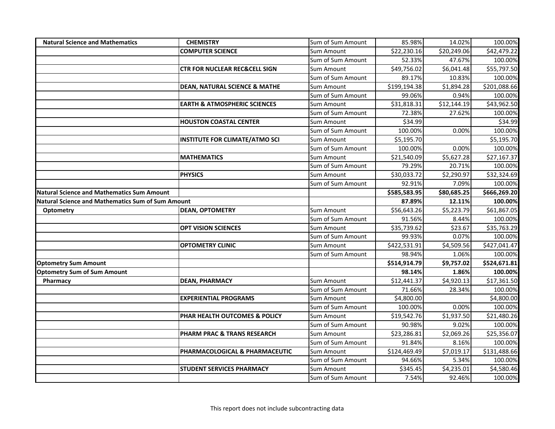| <b>Natural Science and Mathematics</b>                   | <b>CHEMISTRY</b>                         | Sum of Sum Amount | 85.98%       | 14.02%      | 100.00%      |
|----------------------------------------------------------|------------------------------------------|-------------------|--------------|-------------|--------------|
|                                                          | <b>COMPUTER SCIENCE</b>                  | Sum Amount        | \$22,230.16  | \$20,249.06 | \$42,479.22  |
|                                                          |                                          | Sum of Sum Amount | 52.33%       | 47.67%      | 100.00%      |
|                                                          | <b>CTR FOR NUCLEAR REC&amp;CELL SIGN</b> | Sum Amount        | \$49,756.02  | \$6,041.48  | \$55,797.50  |
|                                                          |                                          | Sum of Sum Amount | 89.17%       | 10.83%      | 100.00%      |
|                                                          | <b>DEAN, NATURAL SCIENCE &amp; MATHE</b> | Sum Amount        | \$199,194.38 | \$1,894.28  | \$201,088.66 |
|                                                          |                                          | Sum of Sum Amount | 99.06%       | 0.94%       | 100.00%      |
|                                                          | <b>EARTH &amp; ATMOSPHERIC SCIENCES</b>  | Sum Amount        | \$31,818.31  | \$12,144.19 | \$43,962.50  |
|                                                          |                                          | Sum of Sum Amount | 72.38%       | 27.62%      | 100.00%      |
|                                                          | <b>HOUSTON COASTAL CENTER</b>            | Sum Amount        | \$34.99      |             | \$34.99      |
|                                                          |                                          | Sum of Sum Amount | 100.00%      | 0.00%       | 100.00%      |
|                                                          | <b>INSTITUTE FOR CLIMATE/ATMO SCI</b>    | Sum Amount        | \$5,195.70   |             | \$5,195.70   |
|                                                          |                                          | Sum of Sum Amount | 100.00%      | 0.00%       | 100.00%      |
|                                                          | <b>MATHEMATICS</b>                       | Sum Amount        | \$21,540.09  | \$5,627.28  | \$27,167.37  |
|                                                          |                                          | Sum of Sum Amount | 79.29%       | 20.71%      | 100.00%      |
|                                                          | <b>PHYSICS</b>                           | Sum Amount        | \$30,033.72  | \$2,290.97  | \$32,324.69  |
|                                                          |                                          | Sum of Sum Amount | 92.91%       | 7.09%       | 100.00%      |
| <b>Natural Science and Mathematics Sum Amount</b>        |                                          |                   | \$585,583.95 | \$80,685.25 | \$666,269.20 |
| <b>Natural Science and Mathematics Sum of Sum Amount</b> |                                          |                   | 87.89%       | 12.11%      | 100.00%      |
| <b>Optometry</b>                                         | <b>DEAN, OPTOMETRY</b>                   | Sum Amount        | \$56,643.26  | \$5,223.79  | \$61,867.05  |
|                                                          |                                          | Sum of Sum Amount | 91.56%       | 8.44%       | 100.00%      |
|                                                          | <b>OPT VISION SCIENCES</b>               | Sum Amount        | \$35,739.62  | \$23.67     | \$35,763.29  |
|                                                          |                                          | Sum of Sum Amount | 99.93%       | 0.07%       | 100.00%      |
|                                                          | <b>OPTOMETRY CLINIC</b>                  | Sum Amount        | \$422,531.91 | \$4,509.56  | \$427,041.47 |
|                                                          |                                          | Sum of Sum Amount | 98.94%       | 1.06%       | 100.00%      |
| <b>Optometry Sum Amount</b>                              |                                          |                   | \$514,914.79 | \$9,757.02  | \$524,671.81 |
| <b>Optometry Sum of Sum Amount</b>                       |                                          |                   | 98.14%       | 1.86%       | 100.00%      |
| Pharmacy                                                 | <b>DEAN, PHARMACY</b>                    | Sum Amount        | \$12,441.37  | \$4,920.13  | \$17,361.50  |
|                                                          |                                          | Sum of Sum Amount | 71.66%       | 28.34%      | 100.00%      |
|                                                          | <b>EXPERIENTIAL PROGRAMS</b>             | Sum Amount        | \$4,800.00   |             | \$4,800.00   |
|                                                          |                                          | Sum of Sum Amount | 100.00%      | 0.00%       | 100.00%      |
|                                                          | PHAR HEALTH OUTCOMES & POLICY            | Sum Amount        | \$19,542.76  | \$1,937.50  | \$21,480.26  |
|                                                          |                                          | Sum of Sum Amount | 90.98%       | 9.02%       | 100.00%      |
|                                                          | PHARM PRAC & TRANS RESEARCH              | Sum Amount        | \$23,286.81  | \$2,069.26  | \$25,356.07  |
|                                                          |                                          | Sum of Sum Amount | 91.84%       | 8.16%       | 100.00%      |
|                                                          | PHARMACOLOGICAL & PHARMACEUTIC           | Sum Amount        | \$124,469.49 | \$7,019.17  | \$131,488.66 |
|                                                          |                                          | Sum of Sum Amount | 94.66%       | 5.34%       | 100.00%      |
|                                                          | <b>STUDENT SERVICES PHARMACY</b>         | Sum Amount        | \$345.45     | \$4,235.01  | \$4,580.46   |
|                                                          |                                          | Sum of Sum Amount | 7.54%        | 92.46%      | 100.00%      |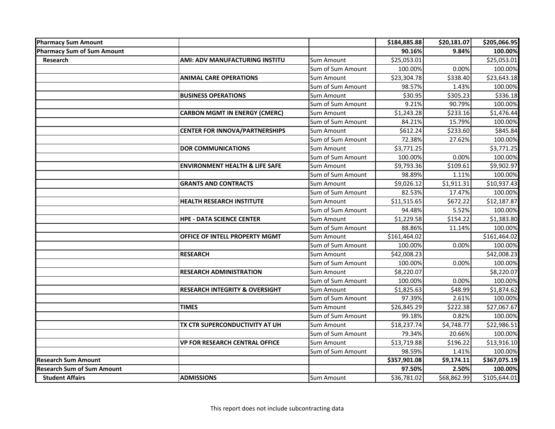| <b>Pharmacy Sum Amount</b>        |                                           |                   | \$184,885.88 | \$20,181.07 | \$205,066.95 |
|-----------------------------------|-------------------------------------------|-------------------|--------------|-------------|--------------|
| <b>Pharmacy Sum of Sum Amount</b> |                                           |                   | 90.16%       | 9.84%       | 100.00%      |
| Research                          | AMI: ADV MANUFACTURING INSTITU            | <b>Sum Amount</b> | \$25,053.01  |             | \$25,053.01  |
|                                   |                                           | Sum of Sum Amount | 100.00%      | 0.00%       | 100.00%      |
|                                   | <b>ANIMAL CARE OPERATIONS</b>             | Sum Amount        | \$23,304.78  | \$338.40    | \$23,643.18  |
|                                   |                                           | Sum of Sum Amount | 98.57%       | 1.43%       | 100.00%      |
|                                   | <b>BUSINESS OPERATIONS</b>                | Sum Amount        | \$30.95      | \$305.23    | \$336.18     |
|                                   |                                           | Sum of Sum Amount | 9.21%        | 90.79%      | 100.00%      |
|                                   | <b>CARBON MGMT IN ENERGY (CMERC)</b>      | Sum Amount        | \$1,243.28   | \$233.16    | \$1,476.44   |
|                                   |                                           | Sum of Sum Amount | 84.21%       | 15.79%      | 100.00%      |
|                                   | <b>CENTER FOR INNOVA/PARTNERSHIPS</b>     | Sum Amount        | \$612.24     | \$233.60    | \$845.84     |
|                                   |                                           | Sum of Sum Amount | 72.38%       | 27.62%      | 100.00%      |
|                                   | <b>DOR COMMUNICATIONS</b>                 | Sum Amount        | \$3,771.25   |             | \$3,771.25   |
|                                   |                                           | Sum of Sum Amount | 100.00%      | 0.00%       | 100.00%      |
|                                   | <b>ENVIRONMENT HEALTH &amp; LIFE SAFE</b> | Sum Amount        | \$9,793.36   | \$109.61    | \$9,902.97   |
|                                   |                                           | Sum of Sum Amount | 98.89%       | 1.11%       | 100.00%      |
|                                   | <b>GRANTS AND CONTRACTS</b>               | Sum Amount        | \$9,026.12   | \$1,911.31  | \$10,937.43  |
|                                   |                                           | Sum of Sum Amount | 82.53%       | 17.47%      | 100.00%      |
|                                   | <b>HEALTH RESEARCH INSTITUTE</b>          | Sum Amount        | \$11,515.65  | \$672.22    | \$12,187.87  |
|                                   |                                           | Sum of Sum Amount | 94.48%       | 5.52%       | 100.00%      |
|                                   | <b>HPE - DATA SCIENCE CENTER</b>          | Sum Amount        | \$1,229.58   | \$154.22    | \$1,383.80   |
|                                   |                                           | Sum of Sum Amount | 88.86%       | 11.14%      | 100.00%      |
|                                   | OFFICE OF INTELL PROPERTY MGMT            | Sum Amount        | \$161,464.02 |             | \$161,464.02 |
|                                   |                                           | Sum of Sum Amount | 100.00%      | 0.00%       | 100.00%      |
|                                   | <b>RESEARCH</b>                           | Sum Amount        | \$42,008.23  |             | \$42,008.23  |
|                                   |                                           | Sum of Sum Amount | 100.00%      | 0.00%       | 100.00%      |
|                                   | <b>RESEARCH ADMINISTRATION</b>            | Sum Amount        | \$8,220.07   |             | \$8,220.07   |
|                                   |                                           | Sum of Sum Amount | 100.00%      | 0.00%       | 100.00%      |
|                                   | <b>RESEARCH INTEGRITY &amp; OVERSIGHT</b> | Sum Amount        | \$1,825.63   | \$48.99     | \$1,874.62   |
|                                   |                                           | Sum of Sum Amount | 97.39%       | 2.61%       | 100.00%      |
|                                   | <b>TIMES</b>                              | <b>Sum Amount</b> | \$26,845.29  | \$222.38    | \$27,067.67  |
|                                   |                                           | Sum of Sum Amount | 99.18%       | 0.82%       | 100.00%      |
|                                   | TX CTR SUPERCONDUCTIVITY AT UH            | Sum Amount        | \$18,237.74  | \$4,748.77  | \$22,986.51  |
|                                   |                                           | Sum of Sum Amount | 79.34%       | 20.66%      | 100.00%      |
|                                   | <b>VP FOR RESEARCH CENTRAL OFFICE</b>     | Sum Amount        | \$13,719.88  | \$196.22    | \$13,916.10  |
|                                   |                                           | Sum of Sum Amount | 98.59%       | 1.41%       | 100.00%      |
| Research Sum Amount               |                                           |                   | \$357,901.08 | \$9,174.11  | \$367,075.19 |
| <b>Research Sum of Sum Amount</b> |                                           |                   | 97.50%       | 2.50%       | 100.00%      |
| <b>Student Affairs</b>            | <b>ADMISSIONS</b>                         | Sum Amount        | \$36,781.02  | \$68,862.99 | \$105,644.01 |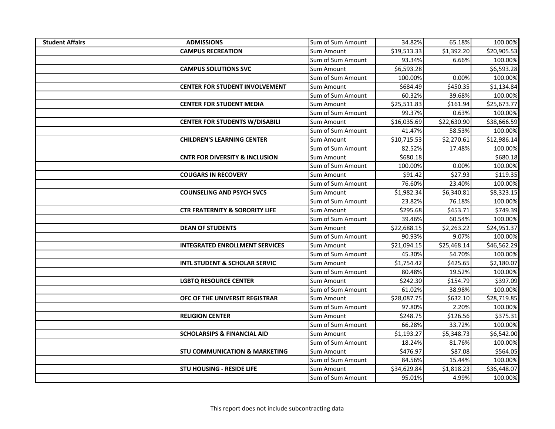| <b>Student Affairs</b> | <b>ADMISSIONS</b>                         | Sum of Sum Amount | 34.82%      | 65.18%      | 100.00%     |
|------------------------|-------------------------------------------|-------------------|-------------|-------------|-------------|
|                        | <b>CAMPUS RECREATION</b>                  | Sum Amount        | \$19,513.33 | \$1,392.20  | \$20,905.53 |
|                        |                                           | Sum of Sum Amount | 93.34%      | 6.66%       | 100.00%     |
|                        | <b>CAMPUS SOLUTIONS SVC</b>               | Sum Amount        | \$6,593.28  |             | \$6,593.28  |
|                        |                                           | Sum of Sum Amount | 100.00%     | 0.00%       | 100.00%     |
|                        | <b>CENTER FOR STUDENT INVOLVEMENT</b>     | Sum Amount        | \$684.49    | \$450.35    | \$1,134.84  |
|                        |                                           | Sum of Sum Amount | 60.32%      | 39.68%      | 100.00%     |
|                        | <b>CENTER FOR STUDENT MEDIA</b>           | Sum Amount        | \$25,511.83 | \$161.94    | \$25,673.77 |
|                        |                                           | Sum of Sum Amount | 99.37%      | 0.63%       | 100.00%     |
|                        | <b>CENTER FOR STUDENTS W/DISABILI</b>     | Sum Amount        | \$16,035.69 | \$22,630.90 | \$38,666.59 |
|                        |                                           | Sum of Sum Amount | 41.47%      | 58.53%      | 100.00%     |
|                        | <b>CHILDREN'S LEARNING CENTER</b>         | Sum Amount        | \$10,715.53 | \$2,270.61  | \$12,986.14 |
|                        |                                           | Sum of Sum Amount | 82.52%      | 17.48%      | 100.00%     |
|                        | <b>CNTR FOR DIVERSITY &amp; INCLUSION</b> | Sum Amount        | \$680.18    |             | \$680.18    |
|                        |                                           | Sum of Sum Amount | 100.00%     | 0.00%       | 100.00%     |
|                        | <b>COUGARS IN RECOVERY</b>                | Sum Amount        | \$91.42     | \$27.93     | \$119.35    |
|                        |                                           | Sum of Sum Amount | 76.60%      | 23.40%      | 100.00%     |
|                        | <b>COUNSELING AND PSYCH SVCS</b>          | Sum Amount        | \$1,982.34  | \$6,340.81  | \$8,323.15  |
|                        |                                           | Sum of Sum Amount | 23.82%      | 76.18%      | 100.00%     |
|                        | <b>CTR FRATERNITY &amp; SORORITY LIFE</b> | Sum Amount        | \$295.68    | \$453.71    | \$749.39    |
|                        |                                           | Sum of Sum Amount | 39.46%      | 60.54%      | 100.00%     |
|                        | <b>DEAN OF STUDENTS</b>                   | Sum Amount        | \$22,688.15 | \$2,263.22  | \$24,951.37 |
|                        |                                           | Sum of Sum Amount | 90.93%      | 9.07%       | 100.00%     |
|                        | <b>INTEGRATED ENROLLMENT SERVICES</b>     | Sum Amount        | \$21,094.15 | \$25,468.14 | \$46,562.29 |
|                        |                                           | Sum of Sum Amount | 45.30%      | 54.70%      | 100.00%     |
|                        | <b>INTL STUDENT &amp; SCHOLAR SERVIC</b>  | Sum Amount        | \$1,754.42  | \$425.65    | \$2,180.07  |
|                        |                                           | Sum of Sum Amount | 80.48%      | 19.52%      | 100.00%     |
|                        | <b>LGBTQ RESOURCE CENTER</b>              | Sum Amount        | \$242.30    | \$154.79    | \$397.09    |
|                        |                                           | Sum of Sum Amount | 61.02%      | 38.98%      | 100.00%     |
|                        | OFC OF THE UNIVERSIT REGISTRAR            | Sum Amount        | \$28,087.75 | \$632.10    | \$28,719.85 |
|                        |                                           | Sum of Sum Amount | 97.80%      | 2.20%       | 100.00%     |
|                        | <b>RELIGION CENTER</b>                    | Sum Amount        | \$248.75    | \$126.56    | \$375.31    |
|                        |                                           | Sum of Sum Amount | 66.28%      | 33.72%      | 100.00%     |
|                        | <b>SCHOLARSIPS &amp; FINANCIAL AID</b>    | Sum Amount        | \$1,193.27  | \$5,348.73  | \$6,542.00  |
|                        |                                           | Sum of Sum Amount | 18.24%      | 81.76%      | 100.00%     |
|                        | <b>STU COMMUNICATION &amp; MARKETING</b>  | Sum Amount        | \$476.97    | \$87.08     | \$564.05    |
|                        |                                           | Sum of Sum Amount | 84.56%      | 15.44%      | 100.00%     |
|                        | <b>STU HOUSING - RESIDE LIFE</b>          | Sum Amount        | \$34,629.84 | \$1,818.23  | \$36,448.07 |
|                        |                                           | Sum of Sum Amount | 95.01%      | 4.99%       | 100.00%     |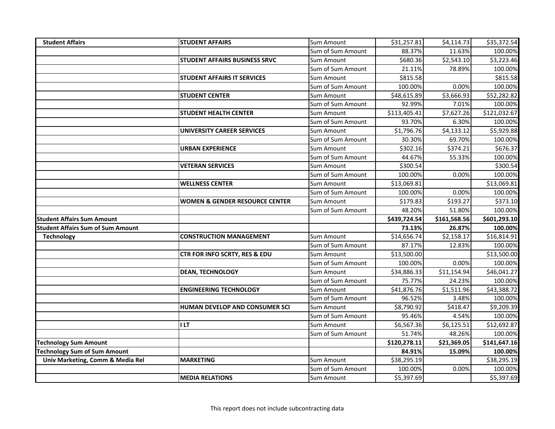| <b>Student Affairs</b>                   | <b>STUDENT AFFAIRS</b>                    | Sum Amount        | \$31,257.81  | \$4,114.73   | \$35,372.54  |
|------------------------------------------|-------------------------------------------|-------------------|--------------|--------------|--------------|
|                                          |                                           | Sum of Sum Amount | 88.37%       | 11.63%       | 100.00%      |
|                                          | <b>STUDENT AFFAIRS BUSINESS SRVC</b>      | Sum Amount        | \$680.36     | \$2,543.10   | \$3,223.46   |
|                                          |                                           | Sum of Sum Amount | 21.11%       | 78.89%       | 100.00%      |
|                                          | <b>STUDENT AFFAIRS IT SERVICES</b>        | Sum Amount        | \$815.58     |              | \$815.58     |
|                                          |                                           | Sum of Sum Amount | 100.00%      | 0.00%        | 100.00%      |
|                                          | <b>STUDENT CENTER</b>                     | Sum Amount        | \$48,615.89  | \$3,666.93   | \$52,282.82  |
|                                          |                                           | Sum of Sum Amount | 92.99%       | 7.01%        | 100.00%      |
|                                          | <b>STUDENT HEALTH CENTER</b>              | Sum Amount        | \$113,405.41 | \$7,627.26   | \$121,032.67 |
|                                          |                                           | Sum of Sum Amount | 93.70%       | 6.30%        | 100.00%      |
|                                          | <b>UNIVERSITY CAREER SERVICES</b>         | Sum Amount        | \$1,796.76   | \$4,133.12   | \$5,929.88   |
|                                          |                                           | Sum of Sum Amount | 30.30%       | 69.70%       | 100.00%      |
|                                          | <b>URBAN EXPERIENCE</b>                   | Sum Amount        | \$302.16     | \$374.21     | \$676.37     |
|                                          |                                           | Sum of Sum Amount | 44.67%       | 55.33%       | 100.00%      |
|                                          | <b>VETERAN SERVICES</b>                   | Sum Amount        | \$300.54     |              | \$300.54     |
|                                          |                                           | Sum of Sum Amount | 100.00%      | 0.00%        | 100.00%      |
|                                          | <b>WELLNESS CENTER</b>                    | Sum Amount        | \$13,069.81  |              | \$13,069.81  |
|                                          |                                           | Sum of Sum Amount | 100.00%      | 0.00%        | 100.00%      |
|                                          | <b>WOMEN &amp; GENDER RESOURCE CENTER</b> | Sum Amount        | \$179.83     | \$193.27     | \$373.10     |
|                                          |                                           |                   |              |              |              |
|                                          |                                           | Sum of Sum Amount | 48.20%       | 51.80%       | 100.00%      |
| <b>Student Affairs Sum Amount</b>        |                                           |                   | \$439,724.54 | \$161,568.56 | \$601,293.10 |
| <b>Student Affairs Sum of Sum Amount</b> |                                           |                   | 73.13%       | 26.87%       | 100.00%      |
| <b>Technology</b>                        | <b>CONSTRUCTION MANAGEMENT</b>            | Sum Amount        | \$14,656.74  | \$2,158.17   | \$16,814.91  |
|                                          |                                           | Sum of Sum Amount | 87.17%       | 12.83%       | 100.00%      |
|                                          | CTR FOR INFO SCRTY, RES & EDU             | Sum Amount        | \$13,500.00  |              | \$13,500.00  |
|                                          |                                           | Sum of Sum Amount | 100.00%      | 0.00%        | 100.00%      |
|                                          | <b>DEAN, TECHNOLOGY</b>                   | Sum Amount        | \$34,886.33  | \$11,154.94  | \$46,041.27  |
|                                          |                                           | Sum of Sum Amount | 75.77%       | 24.23%       | 100.00%      |
|                                          | <b>ENGINEERING TECHNOLOGY</b>             | Sum Amount        | \$41,876.76  | \$1,511.96   | \$43,388.72  |
|                                          |                                           | Sum of Sum Amount | 96.52%       | 3.48%        | 100.00%      |
|                                          | HUMAN DEVELOP AND CONSUMER SCI            | Sum Amount        | \$8,790.92   | \$418.47     | \$9,209.39   |
|                                          |                                           | Sum of Sum Amount | 95.46%       | 4.54%        | 100.00%      |
|                                          | I LT                                      | Sum Amount        | \$6,567.36   | \$6,125.51   | \$12,692.87  |
|                                          |                                           | Sum of Sum Amount | 51.74%       | 48.26%       | 100.00%      |
| <b>Technology Sum Amount</b>             |                                           |                   | \$120,278.11 | \$21,369.05  | \$141,647.16 |
| <b>Technology Sum of Sum Amount</b>      |                                           |                   | 84.91%       | 15.09%       | 100.00%      |
| Univ Marketing, Comm & Media Rel         | <b>MARKETING</b>                          | Sum Amount        | \$38,295.19  |              | \$38,295.19  |
|                                          |                                           | Sum of Sum Amount | 100.00%      | 0.00%        | 100.00%      |